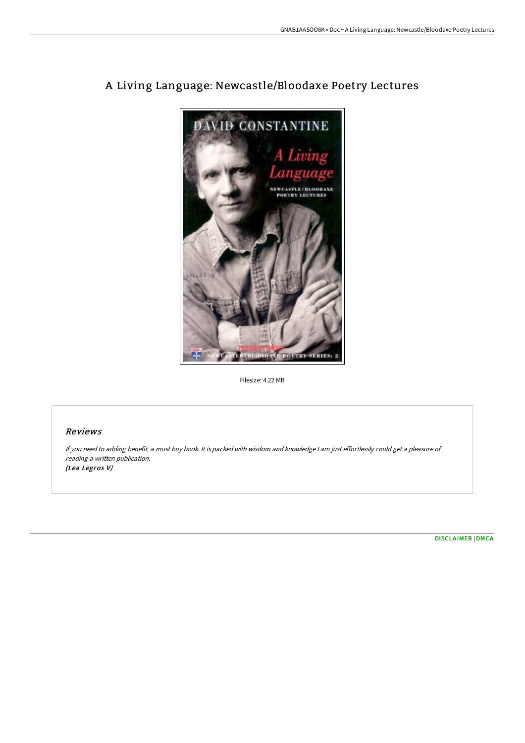

# A Living Language: Newcastle/Bloodaxe Poetry Lectures

Filesize: 4.22 MB

## Reviews

If you need to adding benefit, <sup>a</sup> must buy book. It is packed with wisdom and knowledge <sup>I</sup> am just effortlessly could get <sup>a</sup> pleasure of reading <sup>a</sup> written publication. (Lea Legros V)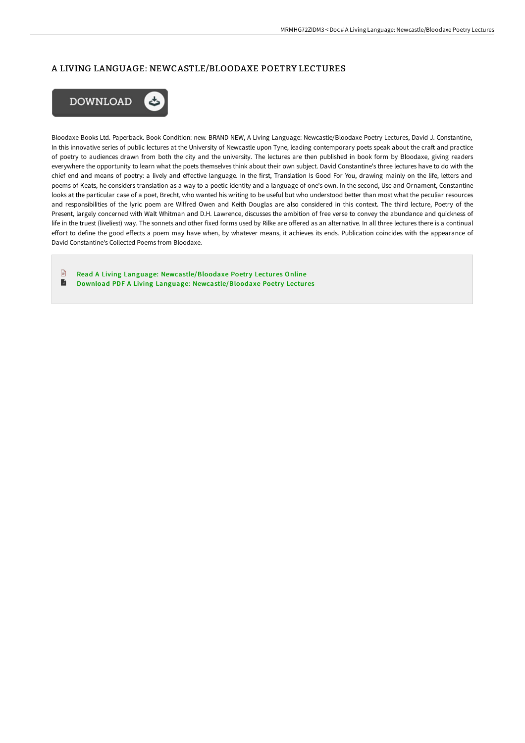### A LIVING LANGUAGE: NEWCASTLE/BLOODAXE POETRY LECTURES



Bloodaxe Books Ltd. Paperback. Book Condition: new. BRAND NEW, A Living Language: Newcastle/Bloodaxe Poetry Lectures, David J. Constantine, In this innovative series of public lectures at the University of Newcastle upon Tyne, leading contemporary poets speak about the craft and practice of poetry to audiences drawn from both the city and the university. The lectures are then published in book form by Bloodaxe, giving readers everywhere the opportunity to learn what the poets themselves think about their own subject. David Constantine's three lectures have to do with the chief end and means of poetry: a lively and effective language. In the first, Translation Is Good For You, drawing mainly on the life, letters and poems of Keats, he considers translation as a way to a poetic identity and a language of one's own. In the second, Use and Ornament, Constantine looks at the particular case of a poet, Brecht, who wanted his writing to be useful but who understood better than most what the peculiar resources and responsibilities of the lyric poem are Wilfred Owen and Keith Douglas are also considered in this context. The third lecture, Poetry of the Present, largely concerned with Walt Whitman and D.H. Lawrence, discusses the ambition of free verse to convey the abundance and quickness of life in the truest (liveliest) way. The sonnets and other fixed forms used by Rilke are offered as an alternative. In all three lectures there is a continual effort to define the good effects a poem may have when, by whatever means, it achieves its ends. Publication coincides with the appearance of David Constantine's Collected Poems from Bloodaxe.

 $\mathbb{R}$ Read A Living Language: [Newcastle/Bloodaxe](http://techno-pub.tech/a-living-language-newcastle-x2f-bloodaxe-poetry-.html) Poetry Lectures Online  $\blacksquare$ Download PDF A Living Language: [Newcastle/Bloodaxe](http://techno-pub.tech/a-living-language-newcastle-x2f-bloodaxe-poetry-.html) Poetry Lectures